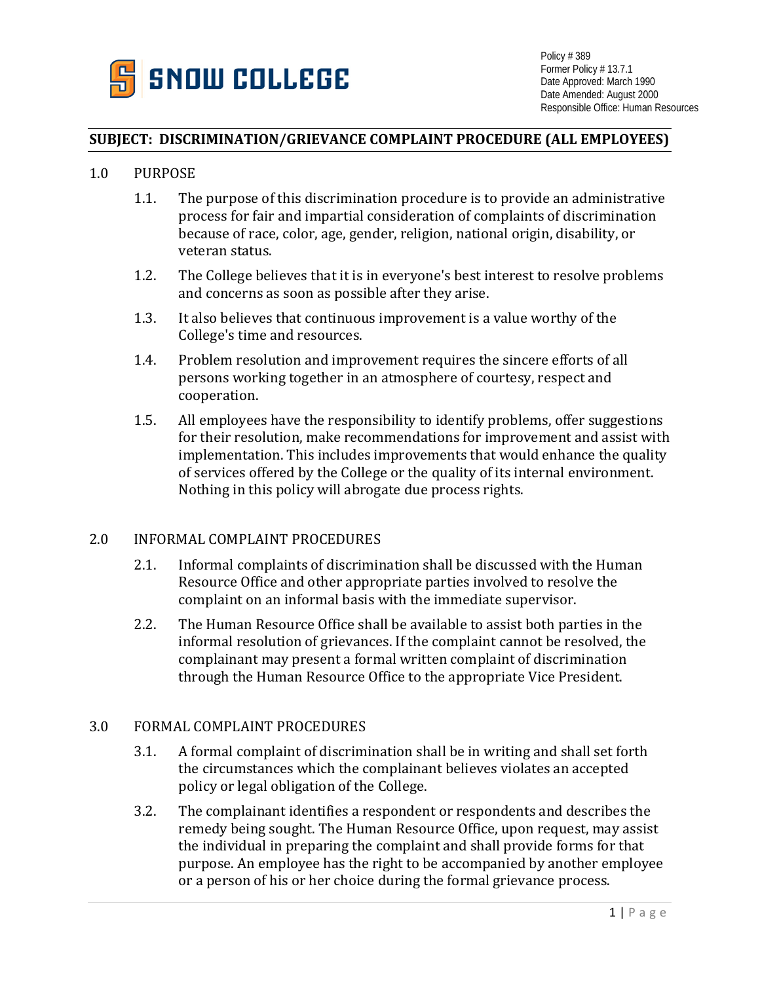

### **SUBJECT: DISCRIMINATION/GRIEVANCE COMPLAINT PROCEDURE (ALL EMPLOYEES)**

#### 1.0 PURPOSE

- 1.1. The purpose of this discrimination procedure is to provide an administrative process for fair and impartial consideration of complaints of discrimination because of race, color, age, gender, religion, national origin, disability, or veteran status.
- 1.2. The College believes that it is in everyone's best interest to resolve problems and concerns as soon as possible after they arise.
- 1.3. It also believes that continuous improvement is a value worthy of the College's time and resources.
- 1.4. Problem resolution and improvement requires the sincere efforts of all persons working together in an atmosphere of courtesy, respect and cooperation.
- 1.5. All employees have the responsibility to identify problems, offer suggestions for their resolution, make recommendations for improvement and assist with implementation. This includes improvements that would enhance the quality of services offered by the College or the quality of its internal environment. Nothing in this policy will abrogate due process rights.

### 2.0 INFORMAL COMPLAINT PROCEDURES

- 2.1. Informal complaints of discrimination shall be discussed with the Human Resource Office and other appropriate parties involved to resolve the complaint on an informal basis with the immediate supervisor.
- 2.2. The Human Resource Office shall be available to assist both parties in the informal resolution of grievances. If the complaint cannot be resolved, the complainant may present a formal written complaint of discrimination through the Human Resource Office to the appropriate Vice President.

# 3.0 FORMAL COMPLAINT PROCEDURES

- 3.1. A formal complaint of discrimination shall be in writing and shall set forth the circumstances which the complainant believes violates an accepted policy or legal obligation of the College.
- 3.2. The complainant identifies a respondent or respondents and describes the remedy being sought. The Human Resource Office, upon request, may assist the individual in preparing the complaint and shall provide forms for that purpose. An employee has the right to be accompanied by another employee or a person of his or her choice during the formal grievance process.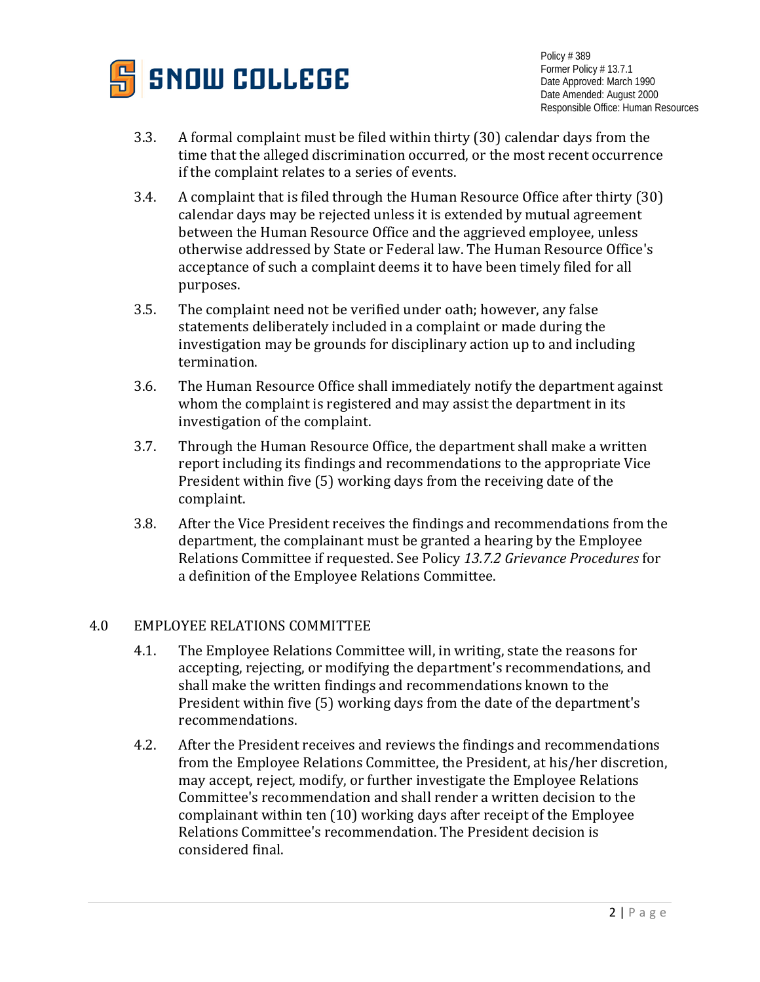

Policy # 389 Former Policy # 13.7.1 Date Approved: March 1990 Date Amended: August 2000 Responsible Office: Human Resources

- 3.3. A formal complaint must be filed within thirty (30) calendar days from the time that the alleged discrimination occurred, or the most recent occurrence if the complaint relates to a series of events.
- 3.4. A complaint that is filed through the Human Resource Office after thirty (30) calendar days may be rejected unless it is extended by mutual agreement between the Human Resource Office and the aggrieved employee, unless otherwise addressed by State or Federal law. The Human Resource Office's acceptance of such a complaint deems it to have been timely filed for all purposes.
- 3.5. The complaint need not be verified under oath; however, any false statements deliberately included in a complaint or made during the investigation may be grounds for disciplinary action up to and including termination.
- 3.6. The Human Resource Office shall immediately notify the department against whom the complaint is registered and may assist the department in its investigation of the complaint.
- 3.7. Through the Human Resource Office, the department shall make a written report including its findings and recommendations to the appropriate Vice President within five (5) working days from the receiving date of the complaint.
- 3.8. After the Vice President receives the findings and recommendations from the department, the complainant must be granted a hearing by the Employee Relations Committee if requested. See Policy *13.7.2 Grievance Procedures* for a definition of the Employee Relations Committee.

# 4.0 EMPLOYEE RELATIONS COMMITTEE

- 4.1. The Employee Relations Committee will, in writing, state the reasons for accepting, rejecting, or modifying the department's recommendations, and shall make the written findings and recommendations known to the President within five (5) working days from the date of the department's recommendations.
- 4.2. After the President receives and reviews the findings and recommendations from the Employee Relations Committee, the President, at his/her discretion, may accept, reject, modify, or further investigate the Employee Relations Committee's recommendation and shall render a written decision to the complainant within ten (10) working days after receipt of the Employee Relations Committee's recommendation. The President decision is considered final.